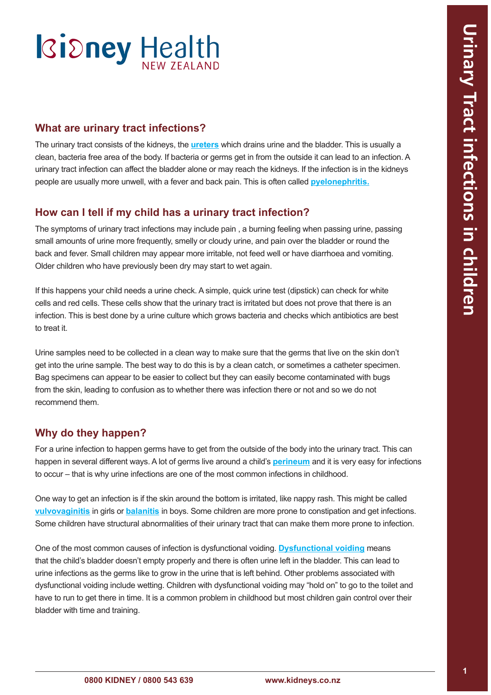# **Ridney Health**

#### **What are urinary tract infections?**

The urinary tract consists of the kidneys, the **[ureters](#page-2-0)** which drains urine and the bladder. This is usually a clean, bacteria free area of the body. If bacteria or germs get in from the outside it can lead to an infection. A urinary tract infection can affect the bladder alone or may reach the kidneys. If the infection is in the kidneys people are usually more unwell, with a fever and back pain. This is often called **[pyelonephritis](#page-2-0).**

#### **How can I tell if my child has a urinary tract infection?**

The symptoms of urinary tract infections may include pain , a burning feeling when passing urine, passing small amounts of urine more frequently, smelly or cloudy urine, and pain over the bladder or round the back and fever. Small children may appear more irritable, not feed well or have diarrhoea and vomiting. Older children who have previously been dry may start to wet again.

If this happens your child needs a urine check. A simple, quick urine test (dipstick) can check for white cells and red cells. These cells show that the urinary tract is irritated but does not prove that there is an infection. This is best done by a urine culture which grows bacteria and checks which antibiotics are best to treat it.

Urine samples need to be collected in a clean way to make sure that the germs that live on the skin don't get into the urine sample. The best way to do this is by a clean catch, or sometimes a catheter specimen. Bag specimens can appear to be easier to collect but they can easily become contaminated with bugs from the skin, leading to confusion as to whether there was infection there or not and so we do not recommend them.

#### **Why do they happen?**

For a urine infection to happen germs have to get from the outside of the body into the urinary tract. This can happen in several different ways. A lot of germs live around a child's **[perineum](#page-2-0)** and it is very easy for infections to occur – that is why urine infections are one of the most common infections in childhood.

One way to get an infection is if the skin around the bottom is irritated, like nappy rash. This might be called **[vulvovaginitis](#page-2-0)** in girls or **[balanitis](#page-2-0)** in boys. Some children are more prone to constipation and get infections. Some children have structural abnormalities of their urinary tract that can make them more prone to infection.

One of the most common causes of infection is dysfunctional voiding. **[Dysfunctional voiding](#page-2-0)** means that the child's bladder doesn't empty properly and there is often urine left in the bladder. This can lead to urine infections as the germs like to grow in the urine that is left behind. Other problems associated with dysfunctional voiding include wetting. Children with dysfunctional voiding may "hold on" to go to the toilet and have to run to get there in time. It is a common problem in childhood but most children gain control over their bladder with time and training.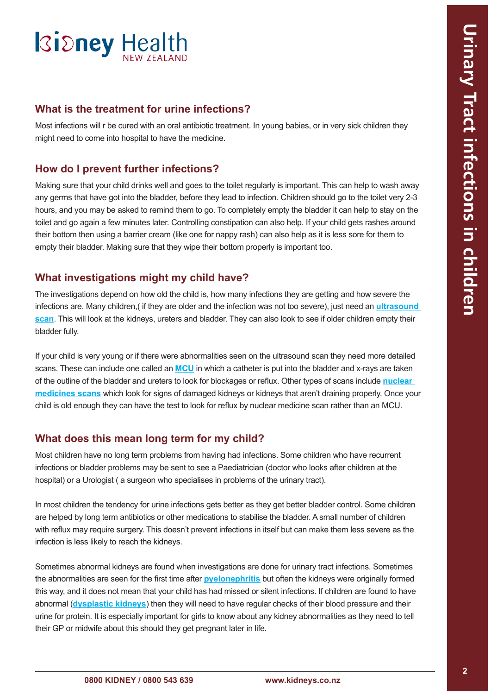### **Ridney Health**

#### **What is the treatment for urine infections?**

Most infections will r be cured with an oral antibiotic treatment. In young babies, or in very sick children they might need to come into hospital to have the medicine.

#### **How do I prevent further infections?**

Making sure that your child drinks well and goes to the toilet regularly is important. This can help to wash away any germs that have got into the bladder, before they lead to infection. Children should go to the toilet very 2-3 hours, and you may be asked to remind them to go. To completely empty the bladder it can help to stay on the toilet and go again a few minutes later. Controlling constipation can also help. If your child gets rashes around their bottom then using a barrier cream (like one for nappy rash) can also help as it is less sore for them to empty their bladder. Making sure that they wipe their bottom properly is important too.

#### **What investigations might my child have?**

The investigations depend on how old the child is, how many infections they are getting and how severe the infections are. Many children,( if they are older and the infection was not too severe), just need an **[ultrasound](#page-2-0)  [scan](#page-2-0)**. This will look at the kidneys, [ureters](#page-2-0) and bladder. They can also look to see if older children empty their bladder fully.

If your child is very young or if there were abnormalities seen on the ultrasound scan they need more detailed scans. These can include one called an **[MCU](#page-2-0)** in which a catheter is put into the bladder and x-rays are taken of the outline of the bladder and ureters to look for blockages or reflux. Other types of scans include **[nuclear](#page-2-0)  [medicines scans](#page-2-0)** which look for signs of damaged kidneys or kidneys that aren't draining properly. Once your child is old enough they can have the test to look for reflux by nuclear medicine scan rather than an MCU.

#### **What does this mean long term for my child?**

Most children have no long term problems from having had infections. Some children who have recurrent infections or bladder problems may be sent to see a Paediatrician (doctor who looks after children at the hospital) or a Urologist ( a surgeon who specialises in problems of the urinary tract).

In most children the tendency for urine infections gets better as they get better bladder control. Some children are helped by long term antibiotics or other medications to stabilise the bladder. A small number of children with reflux may require surgery. This doesn't prevent infections in itself but can make them less severe as the infection is less likely to reach the kidneys.

Sometimes abnormal kidneys are found when investigations are done for urinary tract infections. Sometimes the abnormalities are seen for the first time after **[pyelonephritis](#page-2-0)** but often the kidneys were originally formed this way, and it does not mean that your child has had missed or silent infections. If children are found to have abnormal (**[dysplastic kidneys](#page-2-0)**) then they will need to have regular checks of their blood pressure and their urine for protein. It is especially important for girls to know about any kidney abnormalities as they need to tell their GP or midwife about this should they get pregnant later in life.